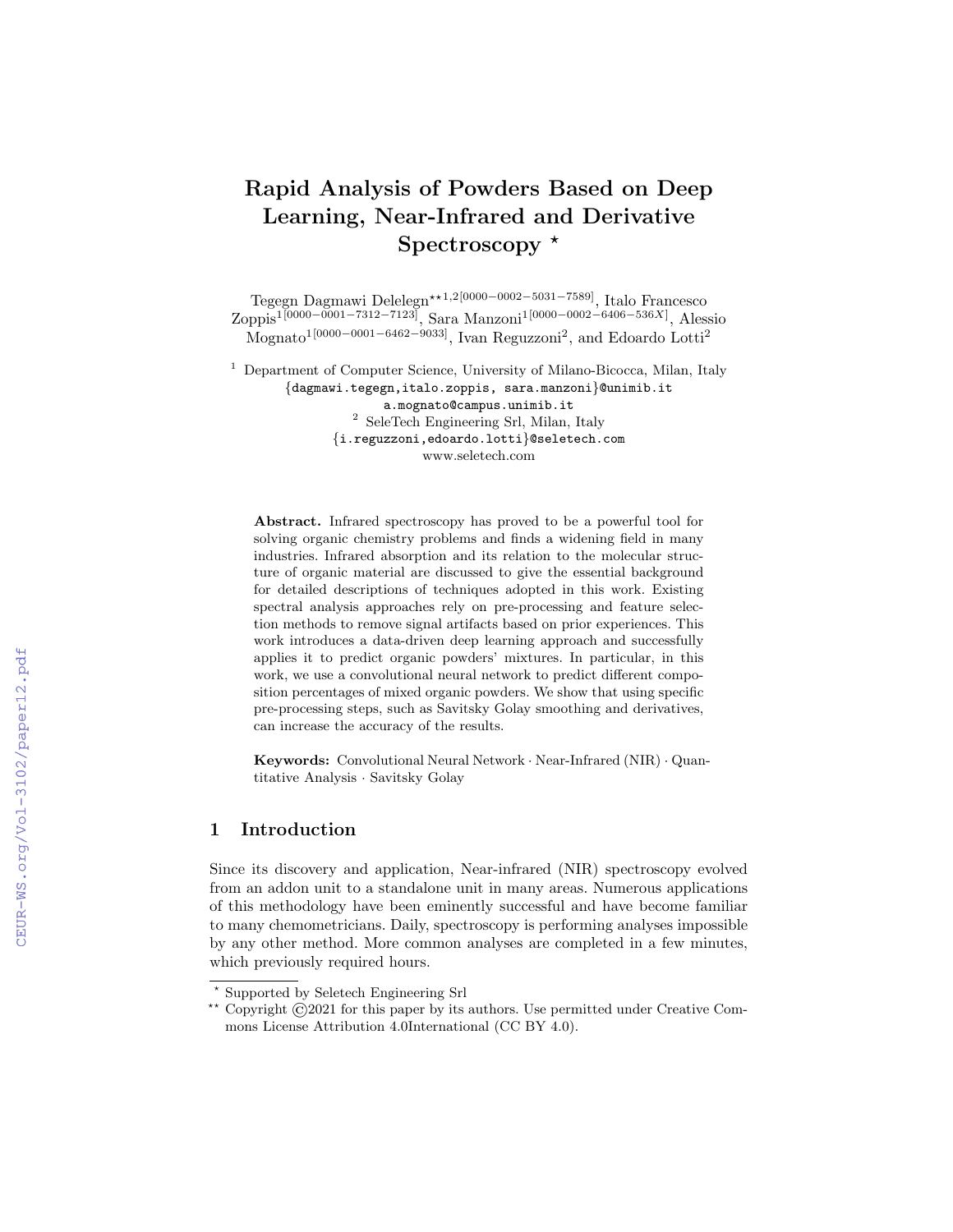# Rapid Analysis of Powders Based on Deep Learning, Near-Infrared and Derivative Spectroscopy  $*$

Tegegn Dagmawi Delelegn<sup>★★1,2[0000−0002−5031−7589]</sup>, Italo Francesco Zoppis1[0000−0001−7312−7123], Sara Manzoni1[0000−0002−6406−536X] , Alessio Mognato<sup>1</sup><sup>[0000–0001–6462–9033]</sup>, Ivan Reguzzoni<sup>2</sup>, and Edoardo Lotti<sup>2</sup>

<sup>1</sup> Department of Computer Science, University of Milano-Bicocca, Milan, Italy {dagmawi.tegegn,italo.zoppis, sara.manzoni}@unimib.it a.mognato@campus.unimib.it

<sup>2</sup> SeleTech Engineering Srl, Milan, Italy {i.reguzzoni,edoardo.lotti}@seletech.com www.seletech.com

Abstract. Infrared spectroscopy has proved to be a powerful tool for solving organic chemistry problems and finds a widening field in many industries. Infrared absorption and its relation to the molecular structure of organic material are discussed to give the essential background for detailed descriptions of techniques adopted in this work. Existing spectral analysis approaches rely on pre-processing and feature selection methods to remove signal artifacts based on prior experiences. This work introduces a data-driven deep learning approach and successfully applies it to predict organic powders' mixtures. In particular, in this work, we use a convolutional neural network to predict different composition percentages of mixed organic powders. We show that using specific pre-processing steps, such as Savitsky Golay smoothing and derivatives, can increase the accuracy of the results.

Keywords: Convolutional Neural Network · Near-Infrared (NIR) · Quantitative Analysis · Savitsky Golay

## 1 Introduction

Since its discovery and application, Near-infrared (NIR) spectroscopy evolved from an addon unit to a standalone unit in many areas. Numerous applications of this methodology have been eminently successful and have become familiar to many chemometricians. Daily, spectroscopy is performing analyses impossible by any other method. More common analyses are completed in a few minutes, which previously required hours.

<sup>⋆</sup> Supported by Seletech Engineering Srl

<sup>\*\*</sup> Copyright  $\odot$ 2021 for this paper by its authors. Use permitted under Creative Commons License Attribution 4.0International (CC BY 4.0).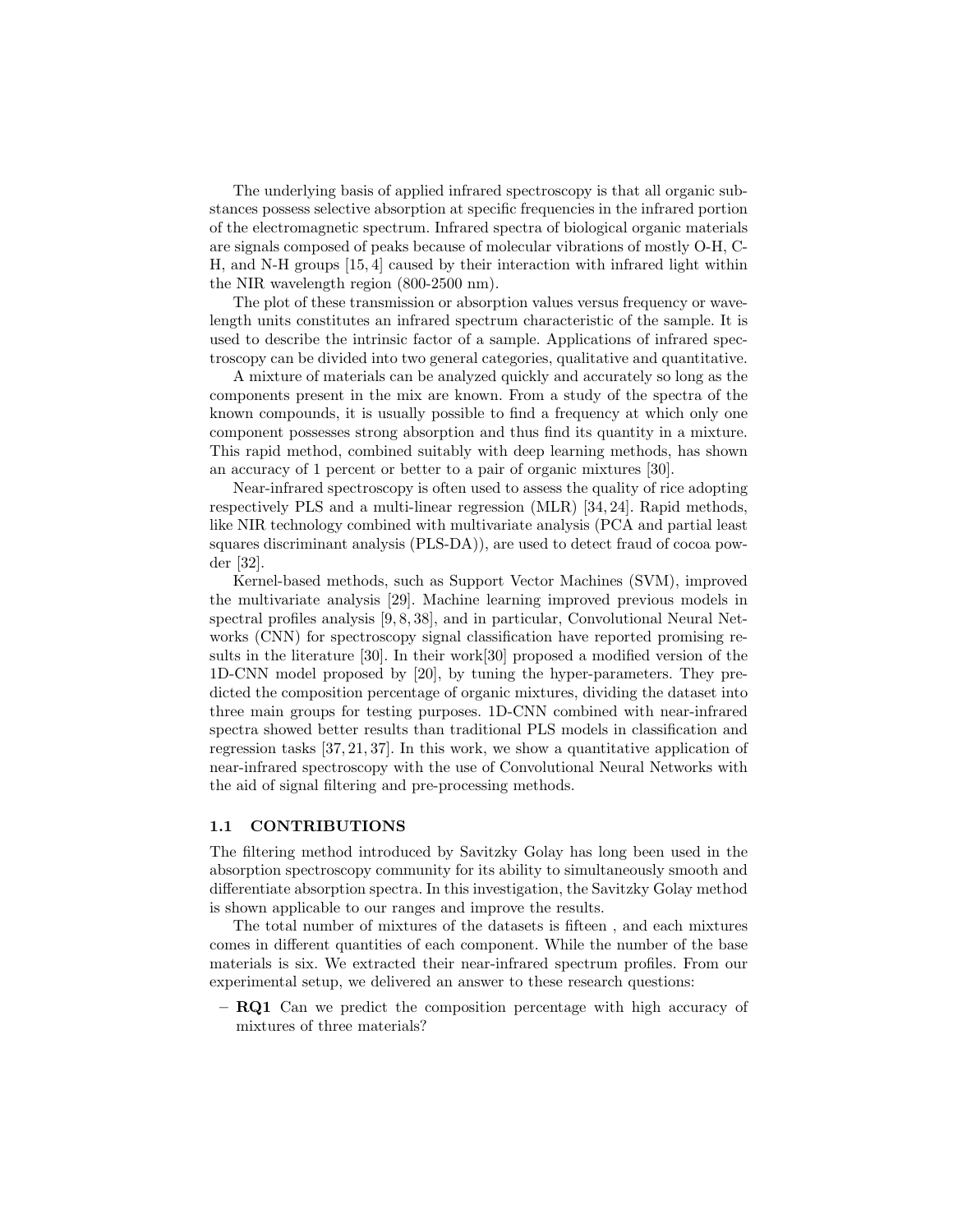The underlying basis of applied infrared spectroscopy is that all organic substances possess selective absorption at specific frequencies in the infrared portion of the electromagnetic spectrum. Infrared spectra of biological organic materials are signals composed of peaks because of molecular vibrations of mostly O-H, C-H, and N-H groups [15, 4] caused by their interaction with infrared light within the NIR wavelength region (800-2500 nm).

The plot of these transmission or absorption values versus frequency or wavelength units constitutes an infrared spectrum characteristic of the sample. It is used to describe the intrinsic factor of a sample. Applications of infrared spectroscopy can be divided into two general categories, qualitative and quantitative.

A mixture of materials can be analyzed quickly and accurately so long as the components present in the mix are known. From a study of the spectra of the known compounds, it is usually possible to find a frequency at which only one component possesses strong absorption and thus find its quantity in a mixture. This rapid method, combined suitably with deep learning methods, has shown an accuracy of 1 percent or better to a pair of organic mixtures [30].

Near-infrared spectroscopy is often used to assess the quality of rice adopting respectively PLS and a multi-linear regression (MLR) [34, 24]. Rapid methods, like NIR technology combined with multivariate analysis (PCA and partial least squares discriminant analysis (PLS-DA)), are used to detect fraud of cocoa powder [32].

Kernel-based methods, such as Support Vector Machines (SVM), improved the multivariate analysis [29]. Machine learning improved previous models in spectral profiles analysis [9, 8, 38], and in particular, Convolutional Neural Networks (CNN) for spectroscopy signal classification have reported promising results in the literature [30]. In their work[30] proposed a modified version of the 1D-CNN model proposed by [20], by tuning the hyper-parameters. They predicted the composition percentage of organic mixtures, dividing the dataset into three main groups for testing purposes. 1D-CNN combined with near-infrared spectra showed better results than traditional PLS models in classification and regression tasks [37, 21, 37]. In this work, we show a quantitative application of near-infrared spectroscopy with the use of Convolutional Neural Networks with the aid of signal filtering and pre-processing methods.

#### 1.1 CONTRIBUTIONS

The filtering method introduced by Savitzky Golay has long been used in the absorption spectroscopy community for its ability to simultaneously smooth and differentiate absorption spectra. In this investigation, the Savitzky Golay method is shown applicable to our ranges and improve the results.

The total number of mixtures of the datasets is fifteen , and each mixtures comes in different quantities of each component. While the number of the base materials is six. We extracted their near-infrared spectrum profiles. From our experimental setup, we delivered an answer to these research questions:

– RQ1 Can we predict the composition percentage with high accuracy of mixtures of three materials?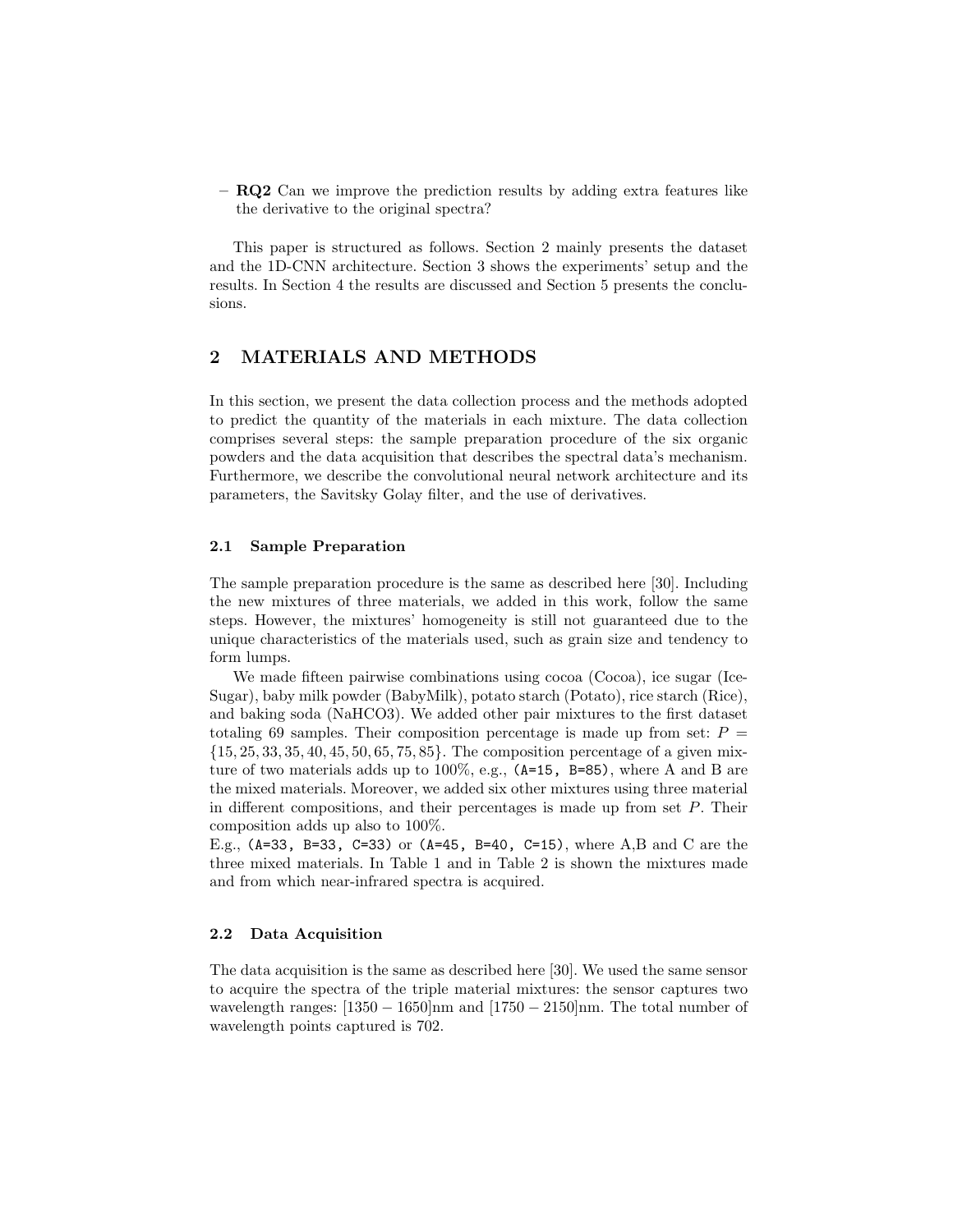– RQ2 Can we improve the prediction results by adding extra features like the derivative to the original spectra?

This paper is structured as follows. Section 2 mainly presents the dataset and the 1D-CNN architecture. Section 3 shows the experiments' setup and the results. In Section 4 the results are discussed and Section 5 presents the conclusions.

# 2 MATERIALS AND METHODS

In this section, we present the data collection process and the methods adopted to predict the quantity of the materials in each mixture. The data collection comprises several steps: the sample preparation procedure of the six organic powders and the data acquisition that describes the spectral data's mechanism. Furthermore, we describe the convolutional neural network architecture and its parameters, the Savitsky Golay filter, and the use of derivatives.

## 2.1 Sample Preparation

The sample preparation procedure is the same as described here [30]. Including the new mixtures of three materials, we added in this work, follow the same steps. However, the mixtures' homogeneity is still not guaranteed due to the unique characteristics of the materials used, such as grain size and tendency to form lumps.

We made fifteen pairwise combinations using cocoa (Cocoa), ice sugar (Ice-Sugar), baby milk powder (BabyMilk), potato starch (Potato), rice starch (Rice), and baking soda (NaHCO3). We added other pair mixtures to the first dataset totaling 69 samples. Their composition percentage is made up from set:  $P =$  $\{15, 25, 33, 35, 40, 45, 50, 65, 75, 85\}$ . The composition percentage of a given mixture of two materials adds up to  $100\%$ , e.g.,  $(A=15, B=85)$ , where A and B are the mixed materials. Moreover, we added six other mixtures using three material in different compositions, and their percentages is made up from set P. Their composition adds up also to 100%.

E.g.,  $(A=33, B=33, C=33)$  or  $(A=45, B=40, C=15)$ , where A,B and C are the three mixed materials. In Table 1 and in Table 2 is shown the mixtures made and from which near-infrared spectra is acquired.

## 2.2 Data Acquisition

The data acquisition is the same as described here [30]. We used the same sensor to acquire the spectra of the triple material mixtures: the sensor captures two wavelength ranges:  $[1350 - 1650]$ nm and  $[1750 - 2150]$ nm. The total number of wavelength points captured is 702.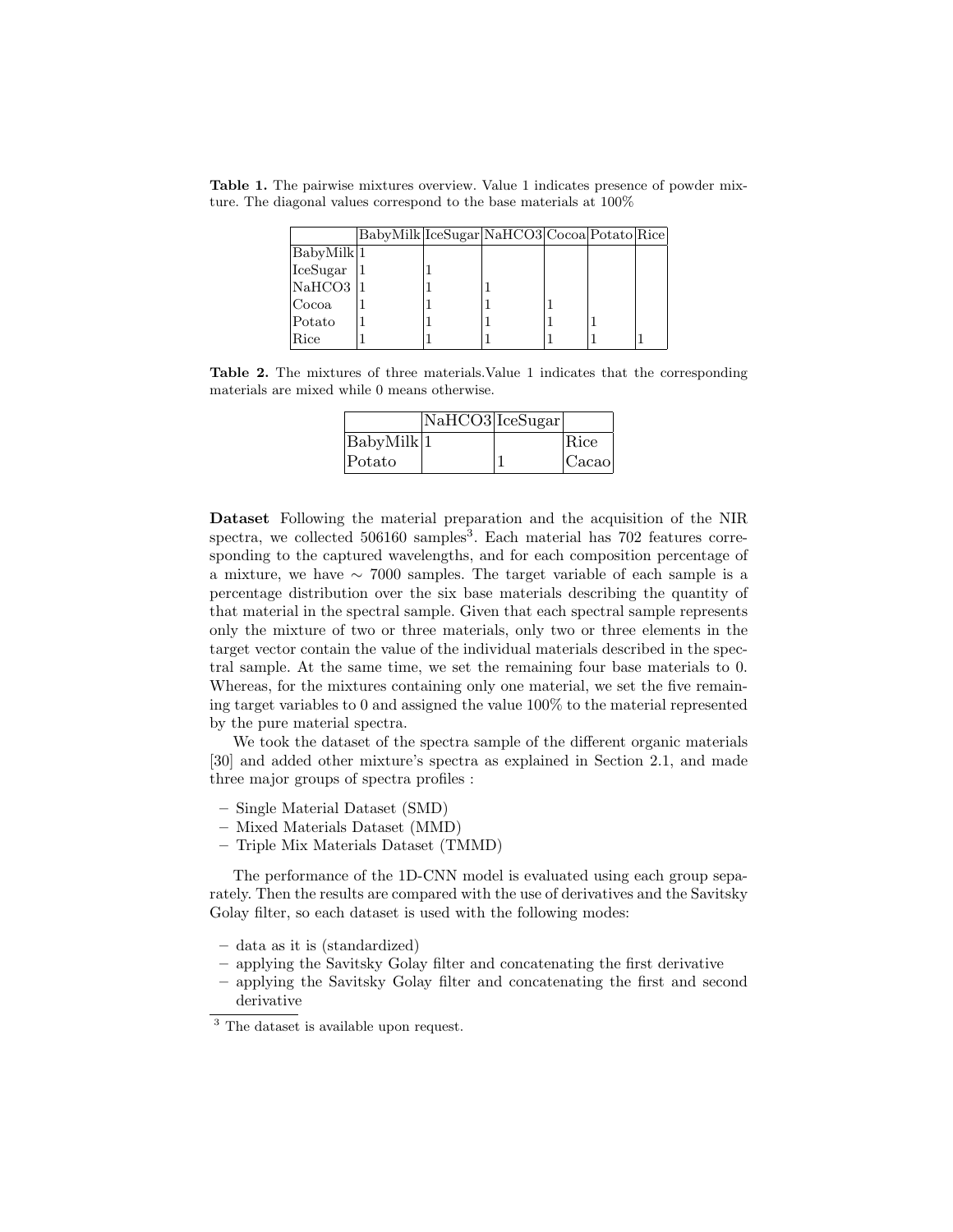Table 1. The pairwise mixtures overview. Value 1 indicates presence of powder mixture. The diagonal values correspond to the base materials at 100%

|                         | BabyMilk IceSugar NaHCO3 Cocoa Potato Rice |  |  |  |
|-------------------------|--------------------------------------------|--|--|--|
| BabyMilk <sup>[1]</sup> |                                            |  |  |  |
| $ {\rm IceSugar} $      |                                            |  |  |  |
| NaHCO3 1                |                                            |  |  |  |
| Cocoa                   |                                            |  |  |  |
| Potato                  |                                            |  |  |  |
| Rice                    |                                            |  |  |  |

Table 2. The mixtures of three materials.Value 1 indicates that the corresponding materials are mixed while 0 means otherwise.

|                   | NaHCO3 IceSugar |       |
|-------------------|-----------------|-------|
| $ $ BabyMilk $ 1$ |                 | Rice  |
| Potato            |                 | Cacao |

Dataset Following the material preparation and the acquisition of the NIR spectra, we collected 506160 samples<sup>3</sup>. Each material has 702 features corresponding to the captured wavelengths, and for each composition percentage of a mixture, we have ∼ 7000 samples. The target variable of each sample is a percentage distribution over the six base materials describing the quantity of that material in the spectral sample. Given that each spectral sample represents only the mixture of two or three materials, only two or three elements in the target vector contain the value of the individual materials described in the spectral sample. At the same time, we set the remaining four base materials to 0. Whereas, for the mixtures containing only one material, we set the five remaining target variables to 0 and assigned the value 100% to the material represented by the pure material spectra.

We took the dataset of the spectra sample of the different organic materials [30] and added other mixture's spectra as explained in Section 2.1, and made three major groups of spectra profiles :

- Single Material Dataset (SMD)
- Mixed Materials Dataset (MMD)
- Triple Mix Materials Dataset (TMMD)

The performance of the 1D-CNN model is evaluated using each group separately. Then the results are compared with the use of derivatives and the Savitsky Golay filter, so each dataset is used with the following modes:

- data as it is (standardized)
- applying the Savitsky Golay filter and concatenating the first derivative
- applying the Savitsky Golay filter and concatenating the first and second derivative

<sup>3</sup> The dataset is available upon request.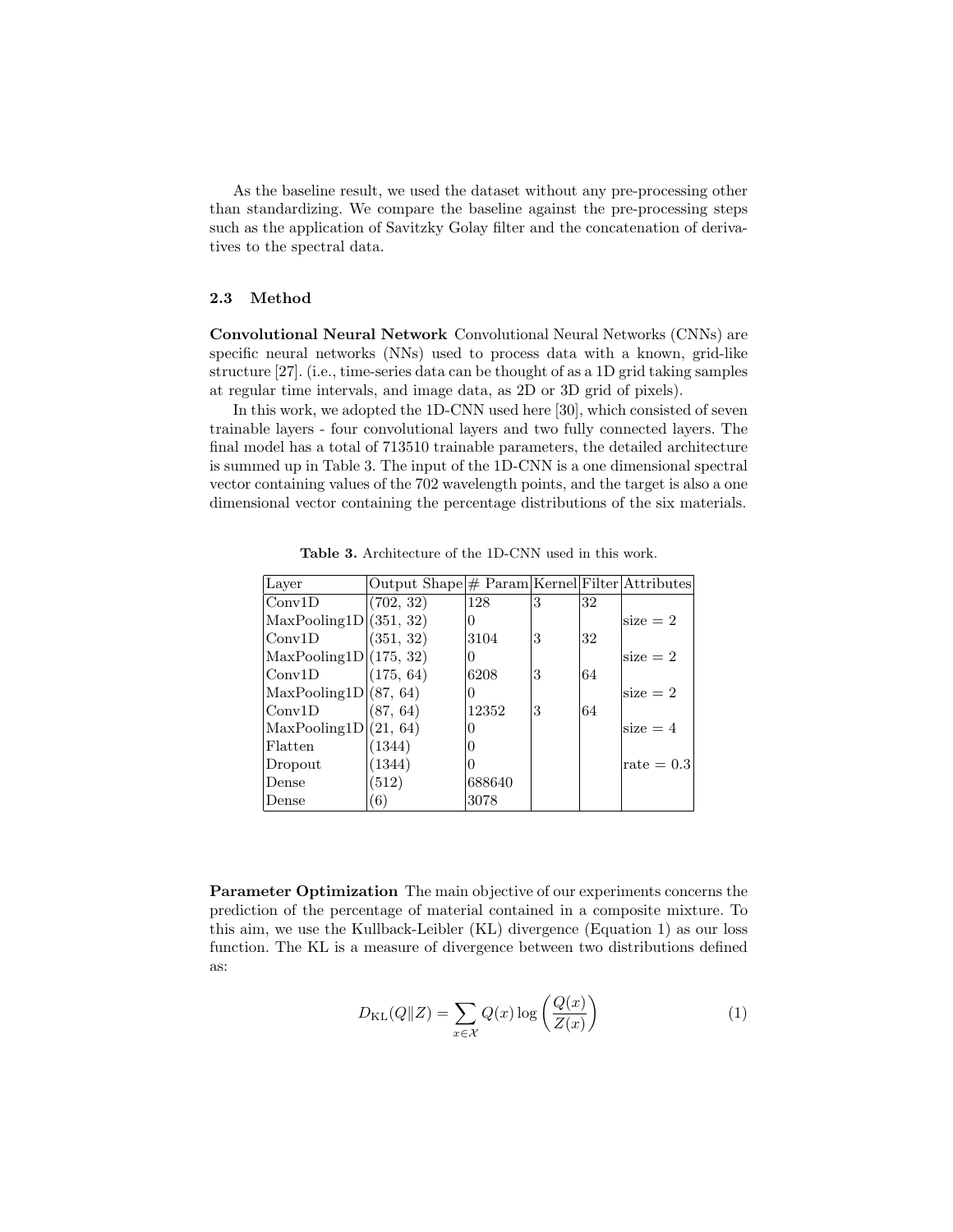As the baseline result, we used the dataset without any pre-processing other than standardizing. We compare the baseline against the pre-processing steps such as the application of Savitzky Golay filter and the concatenation of derivatives to the spectral data.

## 2.3 Method

Convolutional Neural Network Convolutional Neural Networks (CNNs) are specific neural networks (NNs) used to process data with a known, grid-like structure [27]. (i.e., time-series data can be thought of as a 1D grid taking samples at regular time intervals, and image data, as 2D or 3D grid of pixels).

In this work, we adopted the 1D-CNN used here [30], which consisted of seven trainable layers - four convolutional layers and two fully connected layers. The final model has a total of 713510 trainable parameters, the detailed architecture is summed up in Table 3. The input of the 1D-CNN is a one dimensional spectral vector containing values of the 702 wavelength points, and the target is also a one dimensional vector containing the percentage distributions of the six materials.

| Layer                  | Output $Shape \# Param[Kernel] Filter Attributes$ |        |   |    |              |
|------------------------|---------------------------------------------------|--------|---|----|--------------|
| Conv1D                 | (702, 32)                                         | 128    | 3 | 32 |              |
| MaxPooling1D (351, 32) |                                                   | O      |   |    | $size = 2$   |
| Conv1D                 | (351, 32)                                         | 3104   | 3 | 32 |              |
| MaxPooling1D(175, 32)  |                                                   | O      |   |    | size $= 2$   |
| Conv1D                 | (175, 64)                                         | 6208   | 3 | 64 |              |
| MaxPooling1D (87, 64)  |                                                   | O      |   |    | size $= 2$   |
| Conv1D                 | (87, 64)                                          | 12352  | 3 | 64 |              |
| MaxPooling1D(21, 64)   |                                                   |        |   |    | $size = 4$   |
| Flatten                | (1344)                                            |        |   |    |              |
| Dropout                | (1344)                                            |        |   |    | rate $= 0.3$ |
| Dense                  | (512)                                             | 688640 |   |    |              |
| Dense                  | (6)                                               | 3078   |   |    |              |

Table 3. Architecture of the 1D-CNN used in this work.

Parameter Optimization The main objective of our experiments concerns the prediction of the percentage of material contained in a composite mixture. To this aim, we use the Kullback-Leibler (KL) divergence (Equation 1) as our loss function. The KL is a measure of divergence between two distributions defined as:

$$
D_{\text{KL}}(Q||Z) = \sum_{x \in \mathcal{X}} Q(x) \log \left( \frac{Q(x)}{Z(x)} \right) \tag{1}
$$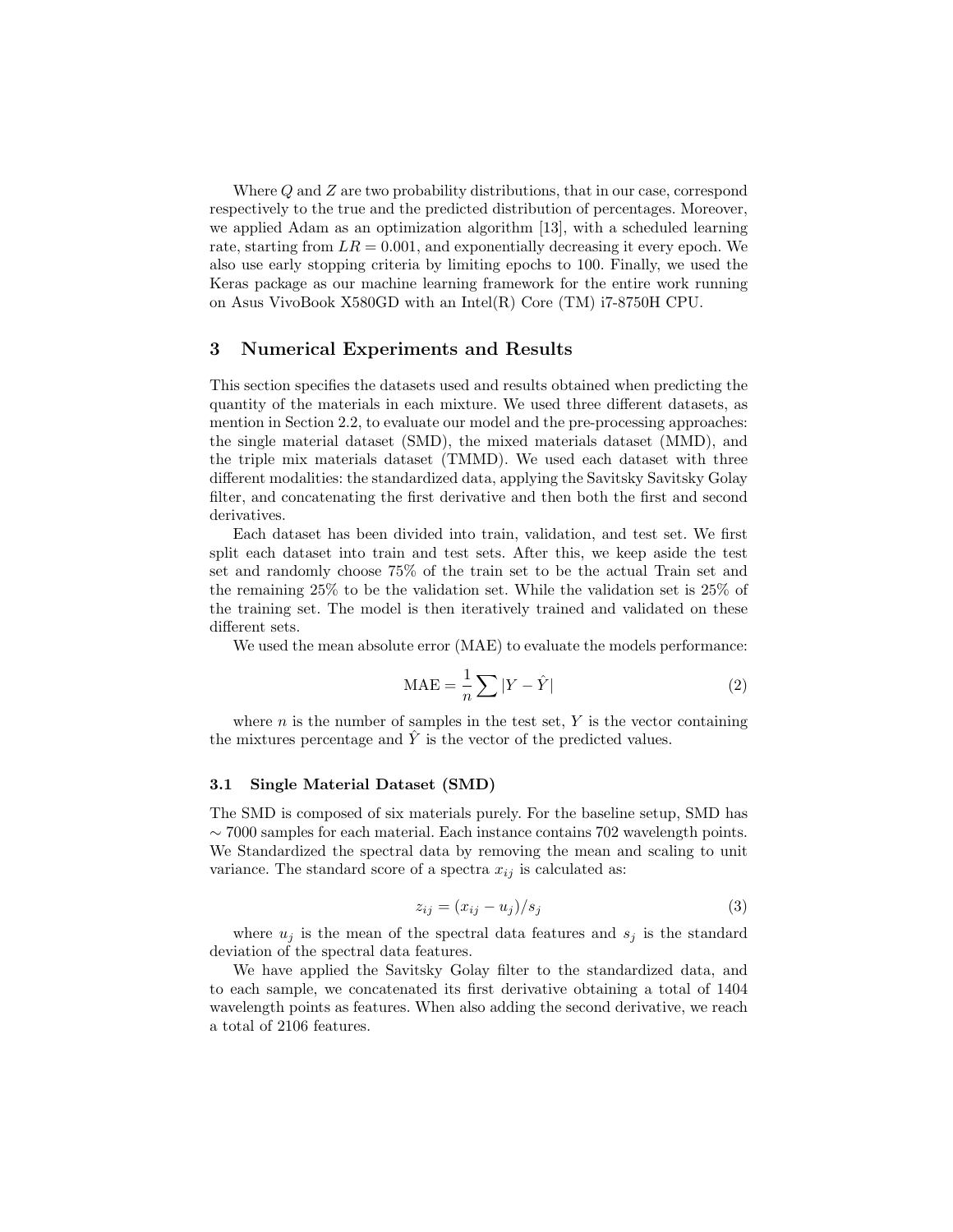Where Q and Z are two probability distributions, that in our case, correspond respectively to the true and the predicted distribution of percentages. Moreover, we applied Adam as an optimization algorithm [13], with a scheduled learning rate, starting from  $LR = 0.001$ , and exponentially decreasing it every epoch. We also use early stopping criteria by limiting epochs to 100. Finally, we used the Keras package as our machine learning framework for the entire work running on Asus VivoBook X580GD with an Intel(R) Core (TM) i7-8750H CPU.

## 3 Numerical Experiments and Results

This section specifies the datasets used and results obtained when predicting the quantity of the materials in each mixture. We used three different datasets, as mention in Section 2.2, to evaluate our model and the pre-processing approaches: the single material dataset (SMD), the mixed materials dataset (MMD), and the triple mix materials dataset (TMMD). We used each dataset with three different modalities: the standardized data, applying the Savitsky Savitsky Golay filter, and concatenating the first derivative and then both the first and second derivatives.

Each dataset has been divided into train, validation, and test set. We first split each dataset into train and test sets. After this, we keep aside the test set and randomly choose 75% of the train set to be the actual Train set and the remaining 25% to be the validation set. While the validation set is 25% of the training set. The model is then iteratively trained and validated on these different sets.

We used the mean absolute error (MAE) to evaluate the models performance:

$$
\text{MAE} = \frac{1}{n} \sum |Y - \hat{Y}| \tag{2}
$$

where  $n$  is the number of samples in the test set,  $Y$  is the vector containing the mixtures percentage and  $\hat{Y}$  is the vector of the predicted values.

#### 3.1 Single Material Dataset (SMD)

The SMD is composed of six materials purely. For the baseline setup, SMD has  $\sim$  7000 samples for each material. Each instance contains 702 wavelength points. We Standardized the spectral data by removing the mean and scaling to unit variance. The standard score of a spectra  $x_{ij}$  is calculated as:

$$
z_{ij} = (x_{ij} - u_j)/s_j \tag{3}
$$

where  $u_j$  is the mean of the spectral data features and  $s_j$  is the standard deviation of the spectral data features.

We have applied the Savitsky Golay filter to the standardized data, and to each sample, we concatenated its first derivative obtaining a total of 1404 wavelength points as features. When also adding the second derivative, we reach a total of 2106 features.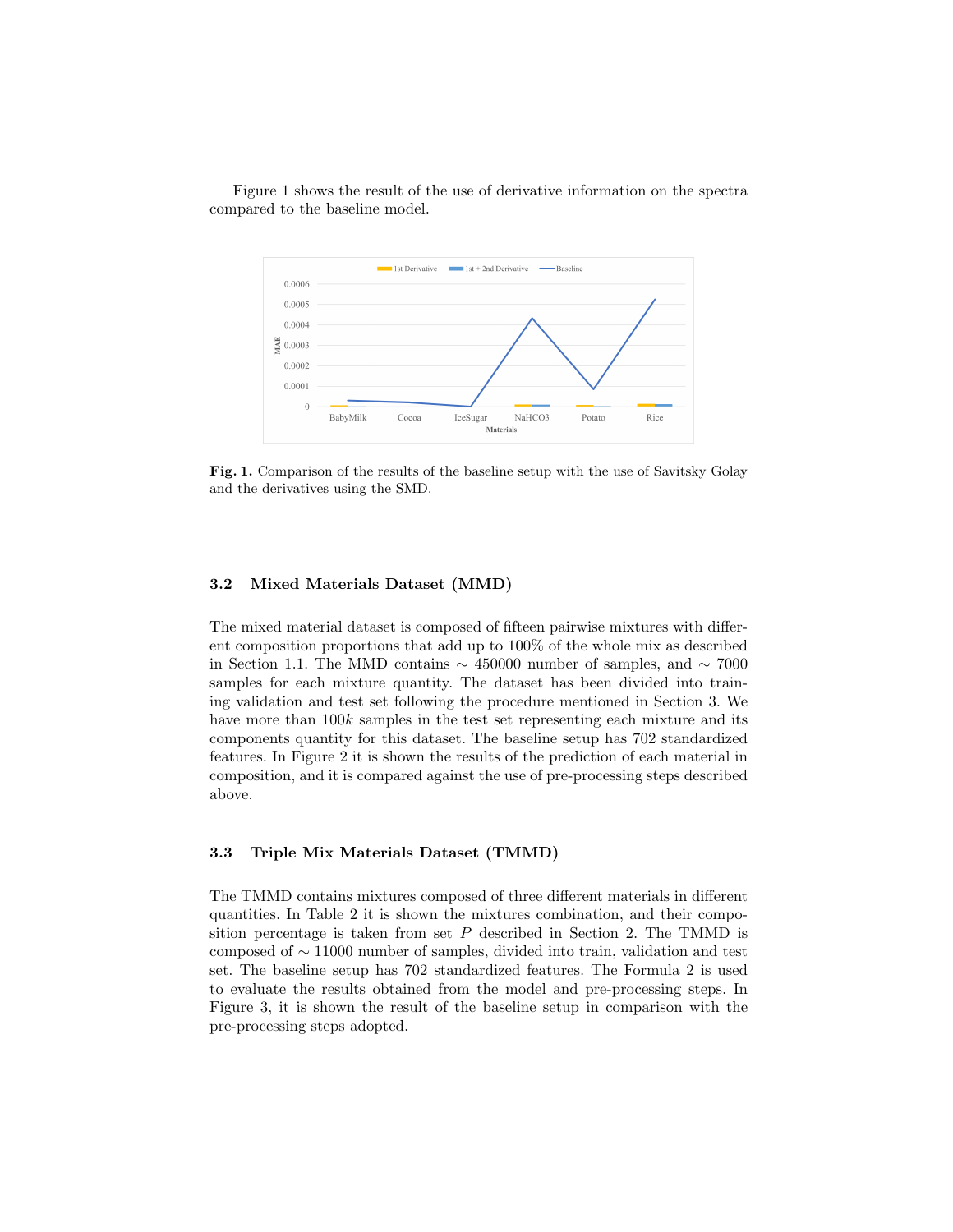Figure 1 shows the result of the use of derivative information on the spectra compared to the baseline model.



Fig. 1. Comparison of the results of the baseline setup with the use of Savitsky Golay and the derivatives using the SMD.

#### 3.2 Mixed Materials Dataset (MMD)

The mixed material dataset is composed of fifteen pairwise mixtures with different composition proportions that add up to 100% of the whole mix as described in Section 1.1. The MMD contains  $\sim$  450000 number of samples, and  $\sim$  7000 samples for each mixture quantity. The dataset has been divided into training validation and test set following the procedure mentioned in Section 3. We have more than  $100k$  samples in the test set representing each mixture and its components quantity for this dataset. The baseline setup has 702 standardized features. In Figure 2 it is shown the results of the prediction of each material in composition, and it is compared against the use of pre-processing steps described above.

#### 3.3 Triple Mix Materials Dataset (TMMD)

The TMMD contains mixtures composed of three different materials in different quantities. In Table 2 it is shown the mixtures combination, and their composition percentage is taken from set  $P$  described in Section 2. The TMMD is composed of ∼ 11000 number of samples, divided into train, validation and test set. The baseline setup has 702 standardized features. The Formula 2 is used to evaluate the results obtained from the model and pre-processing steps. In Figure 3, it is shown the result of the baseline setup in comparison with the pre-processing steps adopted.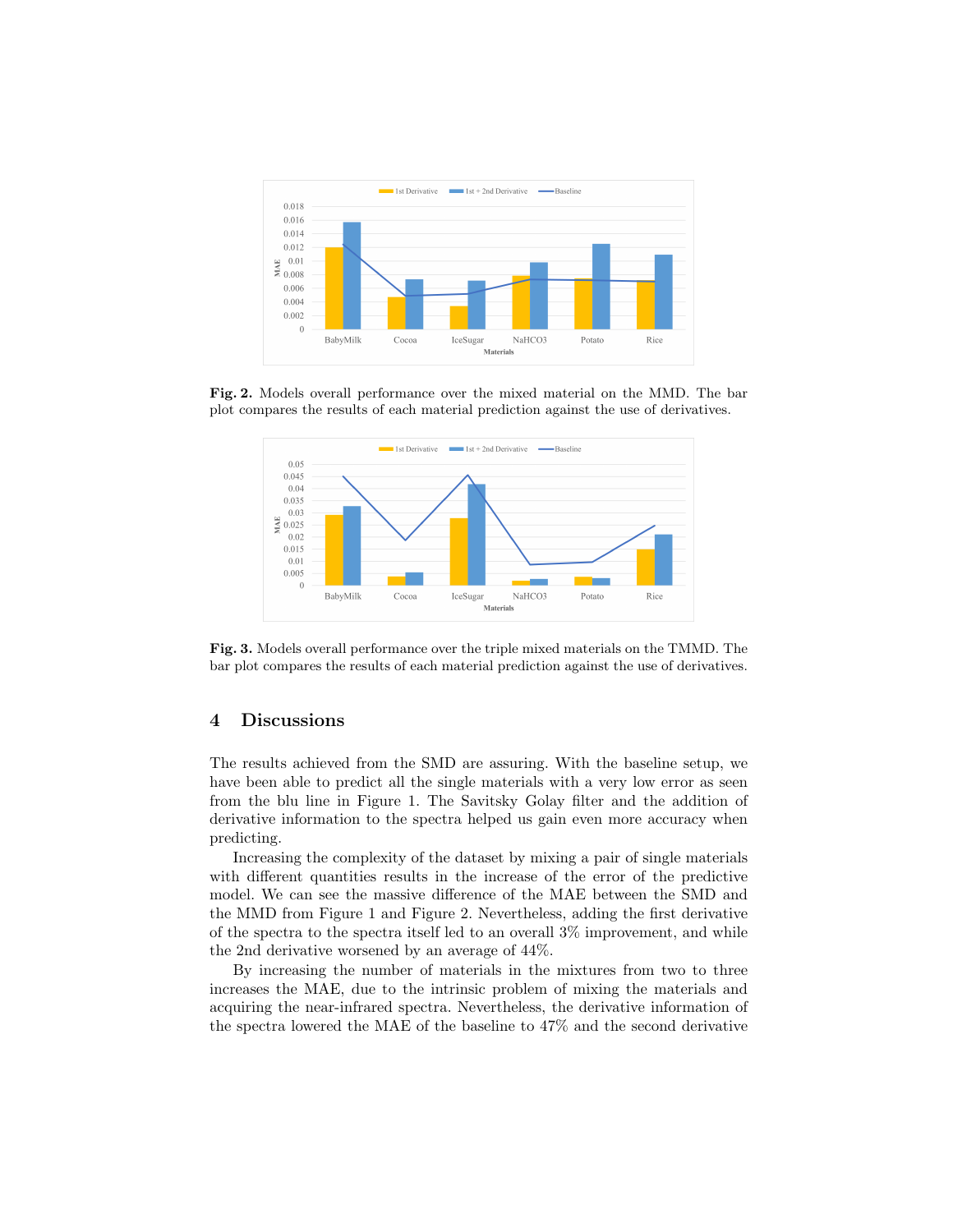

Fig. 2. Models overall performance over the mixed material on the MMD. The bar plot compares the results of each material prediction against the use of derivatives.



Fig. 3. Models overall performance over the triple mixed materials on the TMMD. The bar plot compares the results of each material prediction against the use of derivatives.

# 4 Discussions

The results achieved from the SMD are assuring. With the baseline setup, we have been able to predict all the single materials with a very low error as seen from the blu line in Figure 1. The Savitsky Golay filter and the addition of derivative information to the spectra helped us gain even more accuracy when predicting.

Increasing the complexity of the dataset by mixing a pair of single materials with different quantities results in the increase of the error of the predictive model. We can see the massive difference of the MAE between the SMD and the MMD from Figure 1 and Figure 2. Nevertheless, adding the first derivative of the spectra to the spectra itself led to an overall 3% improvement, and while the 2nd derivative worsened by an average of 44%.

By increasing the number of materials in the mixtures from two to three increases the MAE, due to the intrinsic problem of mixing the materials and acquiring the near-infrared spectra. Nevertheless, the derivative information of the spectra lowered the MAE of the baseline to 47% and the second derivative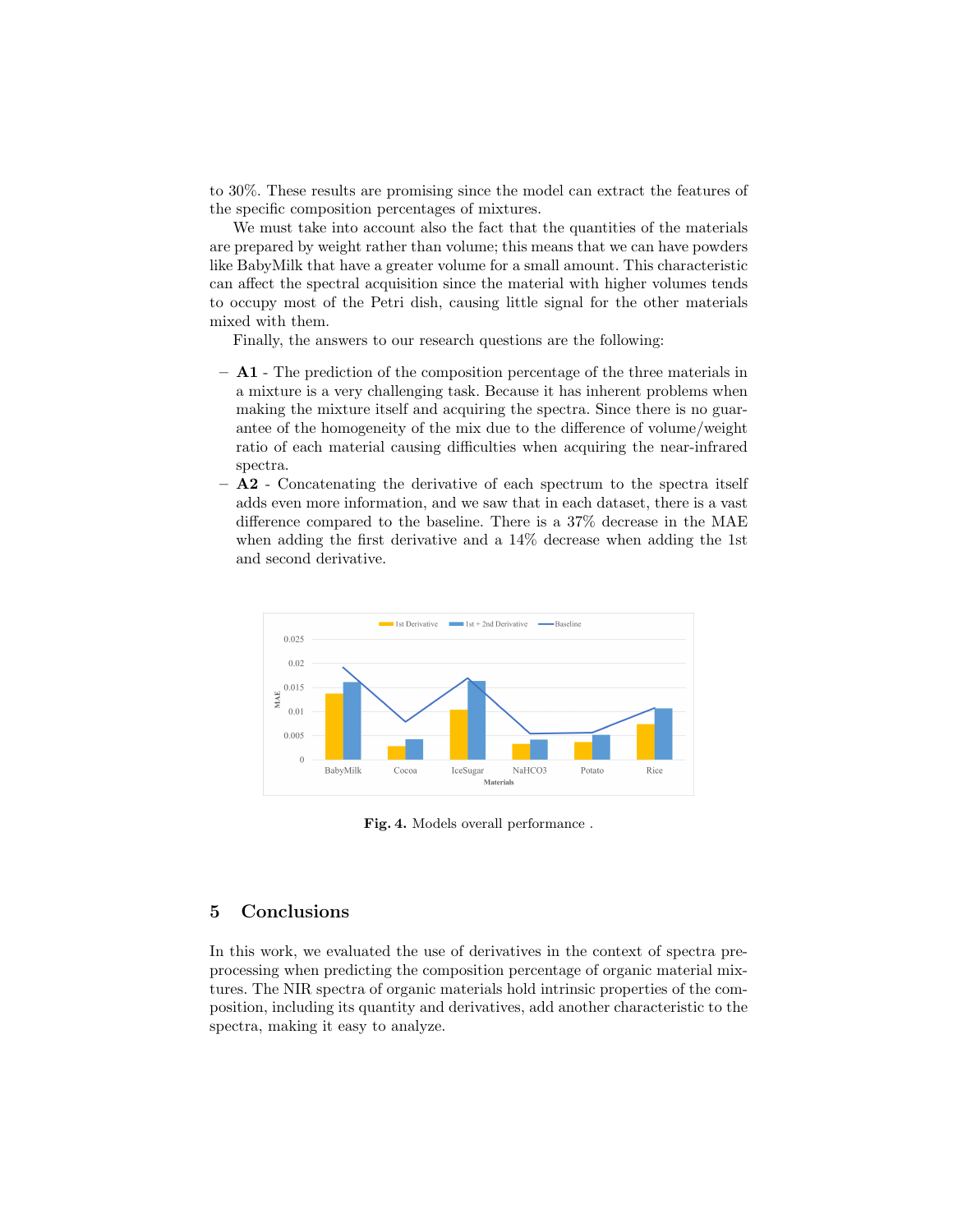to 30%. These results are promising since the model can extract the features of the specific composition percentages of mixtures.

We must take into account also the fact that the quantities of the materials are prepared by weight rather than volume; this means that we can have powders like BabyMilk that have a greater volume for a small amount. This characteristic can affect the spectral acquisition since the material with higher volumes tends to occupy most of the Petri dish, causing little signal for the other materials mixed with them.

Finally, the answers to our research questions are the following:

- A1 The prediction of the composition percentage of the three materials in a mixture is a very challenging task. Because it has inherent problems when making the mixture itself and acquiring the spectra. Since there is no guarantee of the homogeneity of the mix due to the difference of volume/weight ratio of each material causing difficulties when acquiring the near-infrared spectra.
- A2 Concatenating the derivative of each spectrum to the spectra itself adds even more information, and we saw that in each dataset, there is a vast difference compared to the baseline. There is a 37% decrease in the MAE when adding the first derivative and a 14% decrease when adding the 1st and second derivative.



Fig. 4. Models overall performance .

## 5 Conclusions

In this work, we evaluated the use of derivatives in the context of spectra preprocessing when predicting the composition percentage of organic material mixtures. The NIR spectra of organic materials hold intrinsic properties of the composition, including its quantity and derivatives, add another characteristic to the spectra, making it easy to analyze.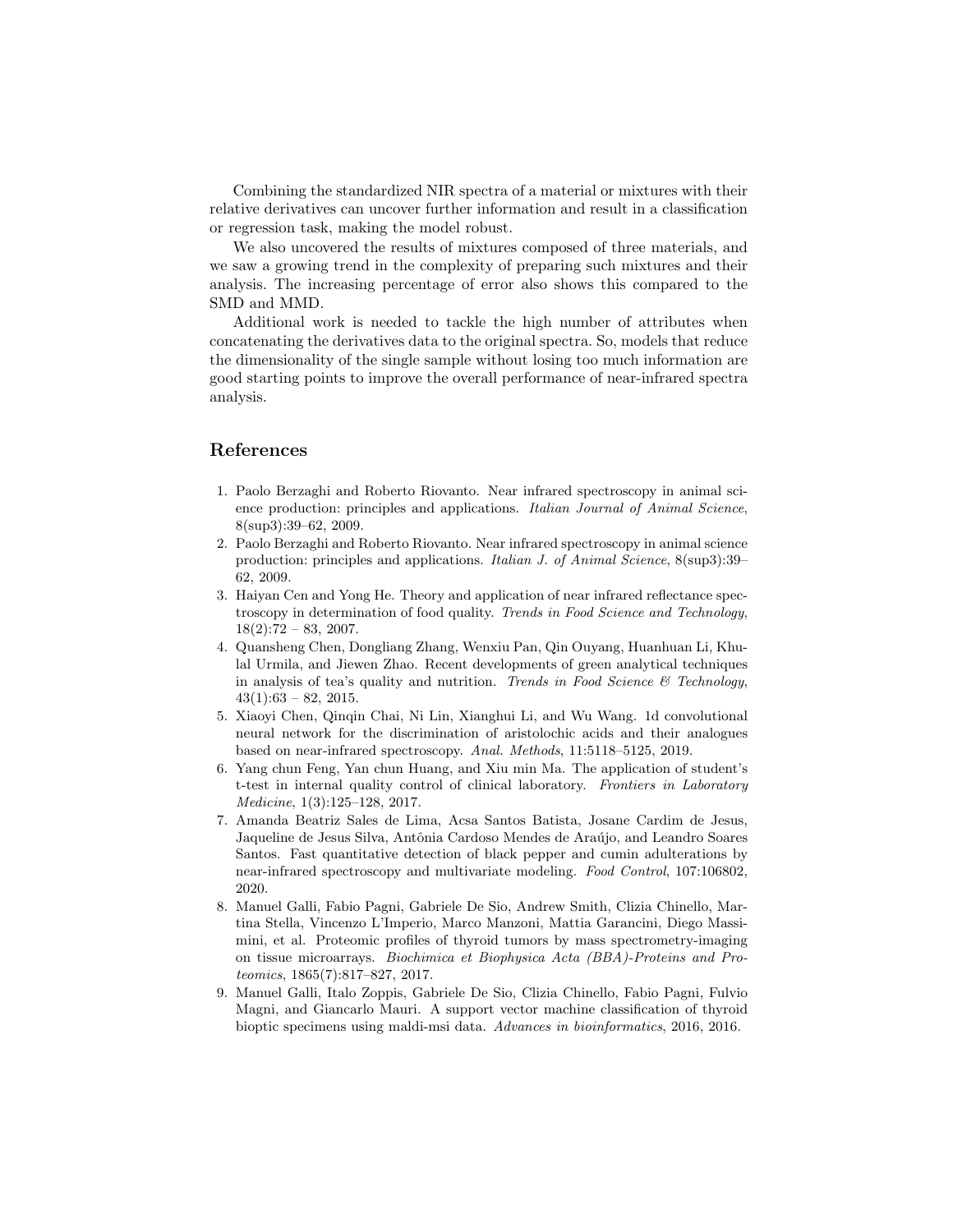Combining the standardized NIR spectra of a material or mixtures with their relative derivatives can uncover further information and result in a classification or regression task, making the model robust.

We also uncovered the results of mixtures composed of three materials, and we saw a growing trend in the complexity of preparing such mixtures and their analysis. The increasing percentage of error also shows this compared to the SMD and MMD.

Additional work is needed to tackle the high number of attributes when concatenating the derivatives data to the original spectra. So, models that reduce the dimensionality of the single sample without losing too much information are good starting points to improve the overall performance of near-infrared spectra analysis.

## References

- 1. Paolo Berzaghi and Roberto Riovanto. Near infrared spectroscopy in animal science production: principles and applications. Italian Journal of Animal Science, 8(sup3):39–62, 2009.
- 2. Paolo Berzaghi and Roberto Riovanto. Near infrared spectroscopy in animal science production: principles and applications. Italian J. of Animal Science, 8(sup3):39– 62, 2009.
- 3. Haiyan Cen and Yong He. Theory and application of near infrared reflectance spectroscopy in determination of food quality. Trends in Food Science and Technology,  $18(2):72 - 83, 2007.$
- 4. Quansheng Chen, Dongliang Zhang, Wenxiu Pan, Qin Ouyang, Huanhuan Li, Khulal Urmila, and Jiewen Zhao. Recent developments of green analytical techniques in analysis of tea's quality and nutrition. Trends in Food Science  $\mathcal{B}$  Technology,  $43(1):63 - 82, 2015.$
- 5. Xiaoyi Chen, Qinqin Chai, Ni Lin, Xianghui Li, and Wu Wang. 1d convolutional neural network for the discrimination of aristolochic acids and their analogues based on near-infrared spectroscopy. Anal. Methods, 11:5118–5125, 2019.
- 6. Yang chun Feng, Yan chun Huang, and Xiu min Ma. The application of student's t-test in internal quality control of clinical laboratory. Frontiers in Laboratory Medicine, 1(3):125–128, 2017.
- 7. Amanda Beatriz Sales de Lima, Acsa Santos Batista, Josane Cardim de Jesus, Jaqueline de Jesus Silva, Antônia Cardoso Mendes de Araújo, and Leandro Soares Santos. Fast quantitative detection of black pepper and cumin adulterations by near-infrared spectroscopy and multivariate modeling. Food Control, 107:106802, 2020.
- 8. Manuel Galli, Fabio Pagni, Gabriele De Sio, Andrew Smith, Clizia Chinello, Martina Stella, Vincenzo L'Imperio, Marco Manzoni, Mattia Garancini, Diego Massimini, et al. Proteomic profiles of thyroid tumors by mass spectrometry-imaging on tissue microarrays. Biochimica et Biophysica Acta (BBA)-Proteins and Proteomics, 1865(7):817–827, 2017.
- 9. Manuel Galli, Italo Zoppis, Gabriele De Sio, Clizia Chinello, Fabio Pagni, Fulvio Magni, and Giancarlo Mauri. A support vector machine classification of thyroid bioptic specimens using maldi-msi data. Advances in bioinformatics, 2016, 2016.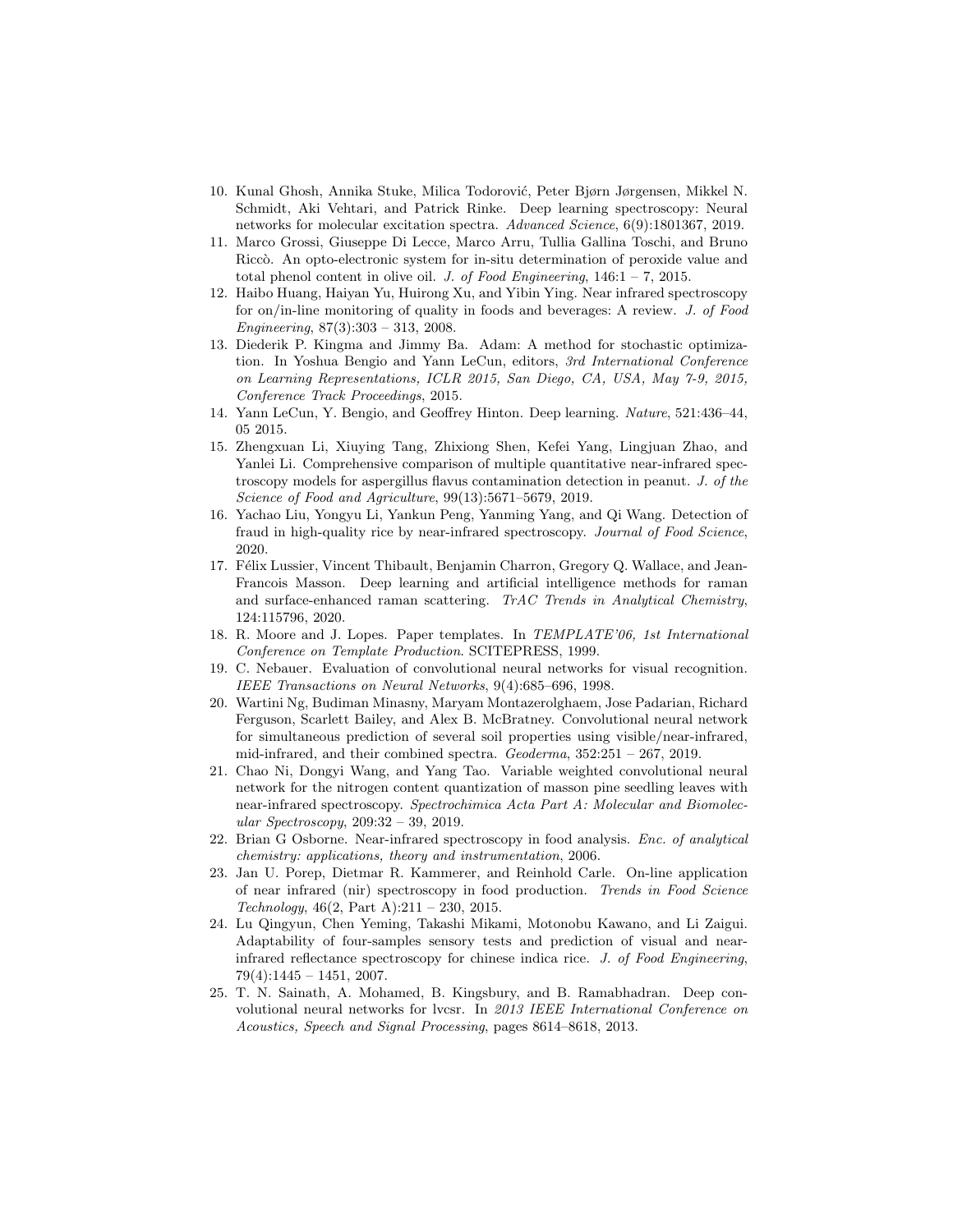- 10. Kunal Ghosh, Annika Stuke, Milica Todorović, Peter Bjørn Jørgensen, Mikkel N. Schmidt, Aki Vehtari, and Patrick Rinke. Deep learning spectroscopy: Neural networks for molecular excitation spectra. Advanced Science, 6(9):1801367, 2019.
- 11. Marco Grossi, Giuseppe Di Lecce, Marco Arru, Tullia Gallina Toschi, and Bruno Riccò. An opto-electronic system for in-situ determination of peroxide value and total phenol content in olive oil. J. of Food Engineering,  $146:1 - 7$ ,  $2015$ .
- 12. Haibo Huang, Haiyan Yu, Huirong Xu, and Yibin Ying. Near infrared spectroscopy for on/in-line monitoring of quality in foods and beverages: A review. J. of Food Engineering, 87(3):303 – 313, 2008.
- 13. Diederik P. Kingma and Jimmy Ba. Adam: A method for stochastic optimization. In Yoshua Bengio and Yann LeCun, editors, 3rd International Conference on Learning Representations, ICLR 2015, San Diego, CA, USA, May 7-9, 2015, Conference Track Proceedings, 2015.
- 14. Yann LeCun, Y. Bengio, and Geoffrey Hinton. Deep learning. Nature, 521:436–44, 05 2015.
- 15. Zhengxuan Li, Xiuying Tang, Zhixiong Shen, Kefei Yang, Lingjuan Zhao, and Yanlei Li. Comprehensive comparison of multiple quantitative near-infrared spectroscopy models for aspergillus flavus contamination detection in peanut. J. of the Science of Food and Agriculture, 99(13):5671–5679, 2019.
- 16. Yachao Liu, Yongyu Li, Yankun Peng, Yanming Yang, and Qi Wang. Detection of fraud in high-quality rice by near-infrared spectroscopy. Journal of Food Science, 2020.
- 17. Félix Lussier, Vincent Thibault, Benjamin Charron, Gregory Q. Wallace, and Jean-Francois Masson. Deep learning and artificial intelligence methods for raman and surface-enhanced raman scattering. TrAC Trends in Analytical Chemistry, 124:115796, 2020.
- 18. R. Moore and J. Lopes. Paper templates. In TEMPLATE'06, 1st International Conference on Template Production. SCITEPRESS, 1999.
- 19. C. Nebauer. Evaluation of convolutional neural networks for visual recognition. IEEE Transactions on Neural Networks, 9(4):685–696, 1998.
- 20. Wartini Ng, Budiman Minasny, Maryam Montazerolghaem, Jose Padarian, Richard Ferguson, Scarlett Bailey, and Alex B. McBratney. Convolutional neural network for simultaneous prediction of several soil properties using visible/near-infrared, mid-infrared, and their combined spectra. Geoderma, 352:251 – 267, 2019.
- 21. Chao Ni, Dongyi Wang, and Yang Tao. Variable weighted convolutional neural network for the nitrogen content quantization of masson pine seedling leaves with near-infrared spectroscopy. Spectrochimica Acta Part A: Molecular and Biomolecular Spectroscopy, 209:32 – 39, 2019.
- 22. Brian G Osborne. Near-infrared spectroscopy in food analysis. Enc. of analytical chemistry: applications, theory and instrumentation, 2006.
- 23. Jan U. Porep, Dietmar R. Kammerer, and Reinhold Carle. On-line application of near infrared (nir) spectroscopy in food production. Trends in Food Science Technology,  $46(2, Part A):211 - 230, 2015.$
- 24. Lu Qingyun, Chen Yeming, Takashi Mikami, Motonobu Kawano, and Li Zaigui. Adaptability of four-samples sensory tests and prediction of visual and nearinfrared reflectance spectroscopy for chinese indica rice. J. of Food Engineering,  $79(4):1445 - 1451, 2007.$
- 25. T. N. Sainath, A. Mohamed, B. Kingsbury, and B. Ramabhadran. Deep convolutional neural networks for lvcsr. In 2013 IEEE International Conference on Acoustics, Speech and Signal Processing, pages 8614–8618, 2013.